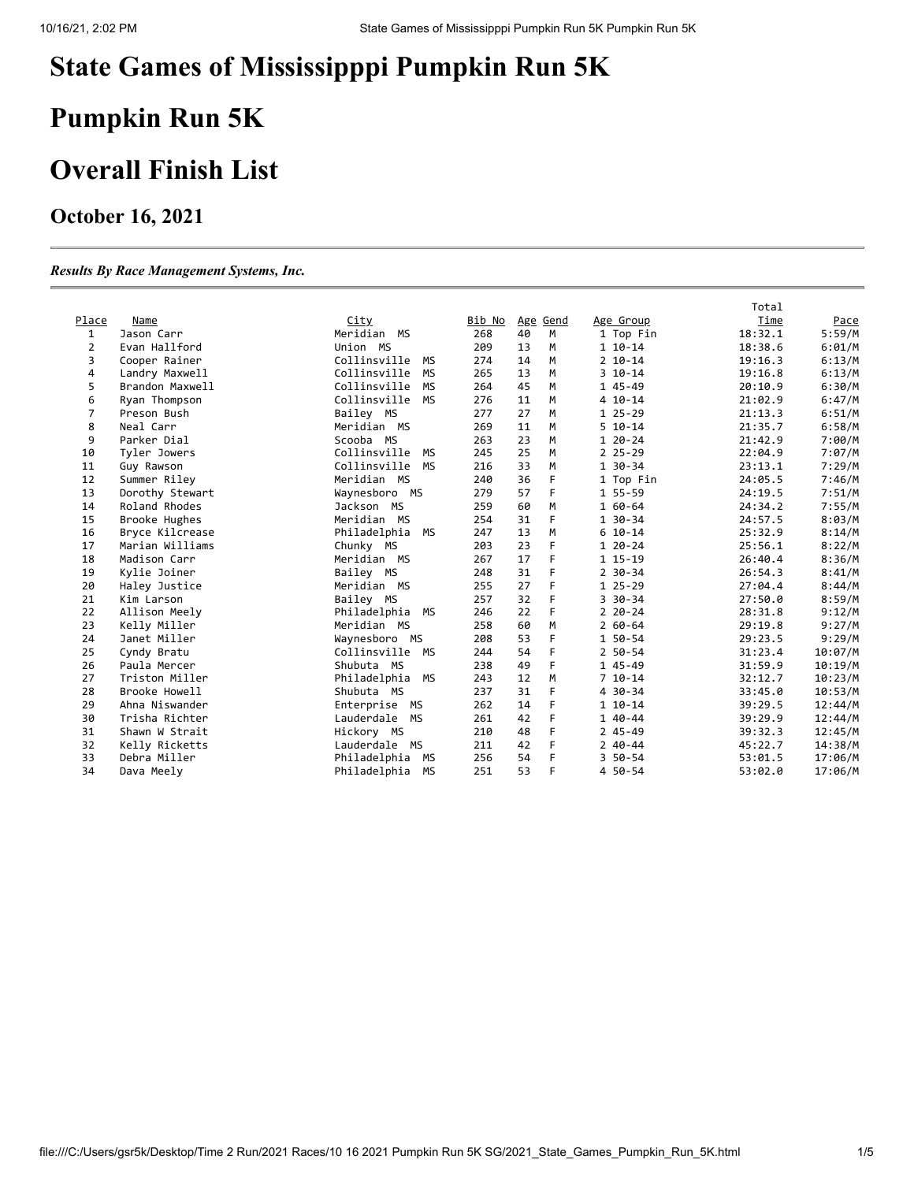# **Pumpkin Run 5K**

### **Overall Finish List**

#### **October 16, 2021**

#### *Results By Race Management Systems, Inc.*

|                |                 |                           |        |    |          |                | Total       |         |
|----------------|-----------------|---------------------------|--------|----|----------|----------------|-------------|---------|
| Place          | Name            | <u>City</u>               | Bib No |    | Age Gend | Age Group      | <b>Time</b> | Pace    |
| $\mathbf{1}$   | Jason Carr      | Meridian MS               | 268    | 40 | M        | 1 Top Fin      | 18:32.1     | 5:59/M  |
| $\overline{2}$ | Evan Hallford   | Union MS                  | 209    | 13 | M        | $110-14$       | 18:38.6     | 6:01/M  |
| 3              | Cooper Rainer   | Collinsville<br>MS        | 274    | 14 | M        | $2 10 - 14$    | 19:16.3     | 6:13/M  |
| 4              | Landry Maxwell  | Collinsville<br><b>MS</b> | 265    | 13 | M        | $3 10 - 14$    | 19:16.8     | 6:13/M  |
| 5              | Brandon Maxwell | Collinsville<br>MS        | 264    | 45 | M        | 1 45-49        | 20:10.9     | 6:30/M  |
| 6              | Ryan Thompson   | Collinsville<br>MS        | 276    | 11 | M        | $410-14$       | 21:02.9     | 6:47/M  |
| 7              | Preson Bush     | Bailey MS                 | 277    | 27 | M        | $125 - 29$     | 21:13.3     | 6:51/M  |
| 8              | Neal Carr       | Meridian MS               | 269    | 11 | М        | $5 10 - 14$    | 21:35.7     | 6:58/M  |
| 9              | Parker Dial     | Scooba MS                 | 263    | 23 | M        | $120-24$       | 21:42.9     | 7:00/M  |
| 10             | Tyler Jowers    | Collinsville MS           | 245    | 25 | M        | $225 - 29$     | 22:04.9     | 7:07/M  |
| 11             | Guy Rawson      | Collinsville<br>MS        | 216    | 33 | M        | 1 30-34        | 23:13.1     | 7:29/M  |
| 12             | Summer Riley    | Meridian MS               | 240    | 36 | F        | 1 Top Fin      | 24:05.5     | 7:46/M  |
| 13             | Dorothy Stewart | Waynesboro MS             | 279    | 57 | E        | 1 55-59        | 24:19.5     | 7:51/M  |
| 14             | Roland Rhodes   | Jackson MS                | 259    | 60 | M        | 1 60-64        | 24:34.2     | 7:55/M  |
| 15             | Brooke Hughes   | Meridian MS               | 254    | 31 | F        | $130-34$       | 24:57.5     | 8:03/M  |
| 16             | Bryce Kilcrease | Philadelphia MS           | 247    | 13 | M        | $610-14$       | 25:32.9     | 8:14/M  |
| 17             | Marian Williams | Chunky MS                 | 203    | 23 | F        | $120-24$       | 25:56.1     | 8:22/M  |
| 18             | Madison Carr    | Meridian MS               | 267    | 17 | F        | $115-19$       | 26:40.4     | 8:36/M  |
| 19             | Kylie Joiner    | Bailey MS                 | 248    | 31 | F        | $2 \, 30 - 34$ | 26:54.3     | 8:41/M  |
| 20             | Haley Justice   | Meridian MS               | 255    | 27 | F        | $125 - 29$     | 27:04.4     | 8:44/M  |
| 21             | Kim Larson      | Bailey MS                 | 257    | 32 | F        | $3\,30 - 34$   | 27:50.0     | 8:59/M  |
| 22             | Allison Meely   | Philadelphia MS           | 246    | 22 | F        | $220 - 24$     | 28:31.8     | 9:12/M  |
| 23             | Kelly Miller    | Meridian MS               | 258    | 60 | M        | $260 - 64$     | 29:19.8     | 9:27/M  |
| 24             | Janet Miller    | Waynesboro MS             | 208    | 53 | F        | 1 50-54        | 29:23.5     | 9:29/M  |
| 25             | Cyndy Bratu     | Collinsville MS           | 244    | 54 | F        | $250 - 54$     | 31:23.4     | 10:07/M |
| 26             | Paula Mercer    | Shubuta MS                | 238    | 49 | F        | 1 45-49        | 31:59.9     | 10:19/M |
| 27             | Triston Miller  | МS<br>Philadelphia        | 243    | 12 | M        | $710-14$       | 32:12.7     | 10:23/M |
| 28             | Brooke Howell   | Shubuta MS                | 237    | 31 | F        | 4 30-34        | 33:45.0     | 10:53/M |
| 29             | Ahna Niswander  | Enterprise MS             | 262    | 14 | F        | $110-14$       | 39:29.5     | 12:44/M |
| 30             | Trisha Richter  | Lauderdale MS             | 261    | 42 | F        | 1 40-44        | 39:29.9     | 12:44/M |
| 31             | Shawn W Strait  | Hickory MS                | 210    | 48 | F        | 2 45-49        | 39:32.3     | 12:45/M |
| 32             | Kelly Ricketts  | Lauderdale MS             | 211    | 42 | F        | $240 - 44$     | 45:22.7     | 14:38/M |
| 33             | Debra Miller    | Philadelphia MS           | 256    | 54 | F        | 3 50-54        | 53:01.5     | 17:06/M |
| 34             | Dava Meely      | Philadelphia MS           | 251    | 53 | F        | 4 50-54        | 53:02.0     | 17:06/M |
|                |                 |                           |        |    |          |                |             |         |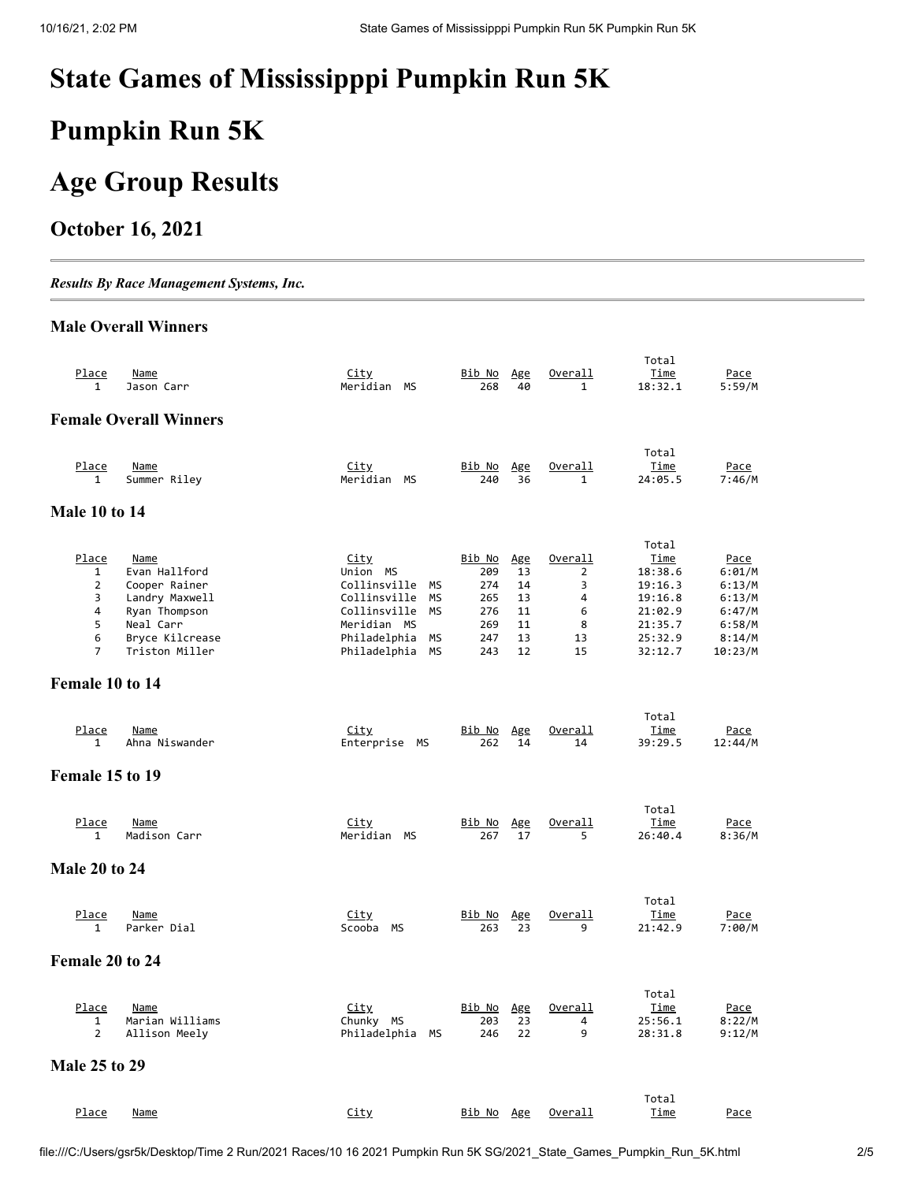### **Pumpkin Run 5K**

# **Age Group Results**

#### **October 16, 2021**

*Results By Race Management Systems, Inc.*

#### **Male Overall Winners**

| Place<br>1                                                             | Name<br>Jason Carr                                                                                                          | <u>City</u><br>Meridian MS                                                                                                                                                              | Bib No<br>268                                                  | Age<br>40                                     | Overall<br>$\mathbf{1}$                                   | Total<br>Time<br>18:32.1                                                          | Pace<br>5:59/M                                                                     |
|------------------------------------------------------------------------|-----------------------------------------------------------------------------------------------------------------------------|-----------------------------------------------------------------------------------------------------------------------------------------------------------------------------------------|----------------------------------------------------------------|-----------------------------------------------|-----------------------------------------------------------|-----------------------------------------------------------------------------------|------------------------------------------------------------------------------------|
|                                                                        | <b>Female Overall Winners</b>                                                                                               |                                                                                                                                                                                         |                                                                |                                               |                                                           |                                                                                   |                                                                                    |
| Place<br>1                                                             | Name<br>Summer Riley                                                                                                        | <u>City</u><br>Meridian MS                                                                                                                                                              | Bib No<br>240                                                  | Age<br>36                                     | Overall<br>1                                              | Total<br>Time<br>24:05.5                                                          | Pace<br>7:46/M                                                                     |
| <b>Male 10 to 14</b>                                                   |                                                                                                                             |                                                                                                                                                                                         |                                                                |                                               |                                                           |                                                                                   |                                                                                    |
|                                                                        |                                                                                                                             |                                                                                                                                                                                         |                                                                |                                               |                                                           | Total                                                                             |                                                                                    |
| Place<br>1<br>$\overline{2}$<br>3<br>4<br>5<br>6<br>7                  | Name<br>Evan Hallford<br>Cooper Rainer<br>Landry Maxwell<br>Ryan Thompson<br>Neal Carr<br>Bryce Kilcrease<br>Triston Miller | <u>City</u><br>Union MS<br>Collinsville<br><b>MS</b><br>Collinsville<br><b>MS</b><br>Collinsville<br><b>MS</b><br>Meridian MS<br>Philadelphia<br><b>MS</b><br>Philadelphia<br><b>MS</b> | <u>Bib No</u><br>209<br>274<br>265<br>276<br>269<br>247<br>243 | Age<br>13<br>14<br>13<br>11<br>11<br>13<br>12 | Overall<br>$\overline{2}$<br>3<br>4<br>6<br>8<br>13<br>15 | Time<br>18:38.6<br>19:16.3<br>19:16.8<br>21:02.9<br>21:35.7<br>25:32.9<br>32:12.7 | <u>Pace</u><br>6:01/M<br>6:13/M<br>6:13/M<br>6:47/M<br>6:58/M<br>8:14/M<br>10:23/M |
| Female 10 to 14                                                        |                                                                                                                             |                                                                                                                                                                                         |                                                                |                                               |                                                           |                                                                                   |                                                                                    |
| Place<br>1                                                             | <b>Name</b><br>Ahna Niswander                                                                                               | <b>City</b><br>Enterprise MS                                                                                                                                                            | <u>Bib No</u><br>262                                           | Age<br>14                                     | Overall<br>14                                             | Total<br><u>Time</u><br>39:29.5                                                   | Pace<br>12:44/M                                                                    |
| Female 15 to 19                                                        |                                                                                                                             |                                                                                                                                                                                         |                                                                |                                               |                                                           |                                                                                   |                                                                                    |
| Place<br>1                                                             | Name<br>Madison Carr                                                                                                        | <u>City</u><br>Meridian MS                                                                                                                                                              | <u>Bib No</u><br>267                                           | <u>Age</u><br>17                              | Overall<br>5                                              | Total<br>Time<br>26:40.4                                                          | Pace<br>8:36/M                                                                     |
| <b>Male 20 to 24</b>                                                   |                                                                                                                             |                                                                                                                                                                                         |                                                                |                                               |                                                           |                                                                                   |                                                                                    |
| Place<br>$\mathbf{1}$                                                  | <b>Name</b><br>Parker Dial                                                                                                  | <b>City</b><br>Scooba<br>MS                                                                                                                                                             | <u>Bib No</u><br>263                                           | Age<br>23                                     | Overall<br>9                                              | Total<br><u>Time</u><br>21:42.9                                                   | Pace<br>7:00/M                                                                     |
| Female 20 to 24                                                        |                                                                                                                             |                                                                                                                                                                                         |                                                                |                                               |                                                           |                                                                                   |                                                                                    |
| <u>Place</u><br>$\mathbf{1}$<br>$\overline{2}$<br><b>Male 25 to 29</b> | <u>Name</u><br>Marian Williams<br>Allison Meely                                                                             | <u>City</u><br>Chunky MS<br>Philadelphia<br>MS                                                                                                                                          | <u>Bib No</u><br>203<br>246                                    | Age<br>23<br>22                               | Overall<br>4<br>9                                         | Total<br>Time<br>25:56.1<br>28:31.8                                               | <u>Pace</u><br>8:22/M<br>9:12/M                                                    |
|                                                                        |                                                                                                                             |                                                                                                                                                                                         |                                                                |                                               |                                                           |                                                                                   |                                                                                    |
| Place                                                                  | <u>Name</u>                                                                                                                 | <u>City</u>                                                                                                                                                                             | <u>Bib No</u>                                                  | Age                                           | <u>Overall</u>                                            | Total<br><u>Time</u>                                                              | <u>Pace</u>                                                                        |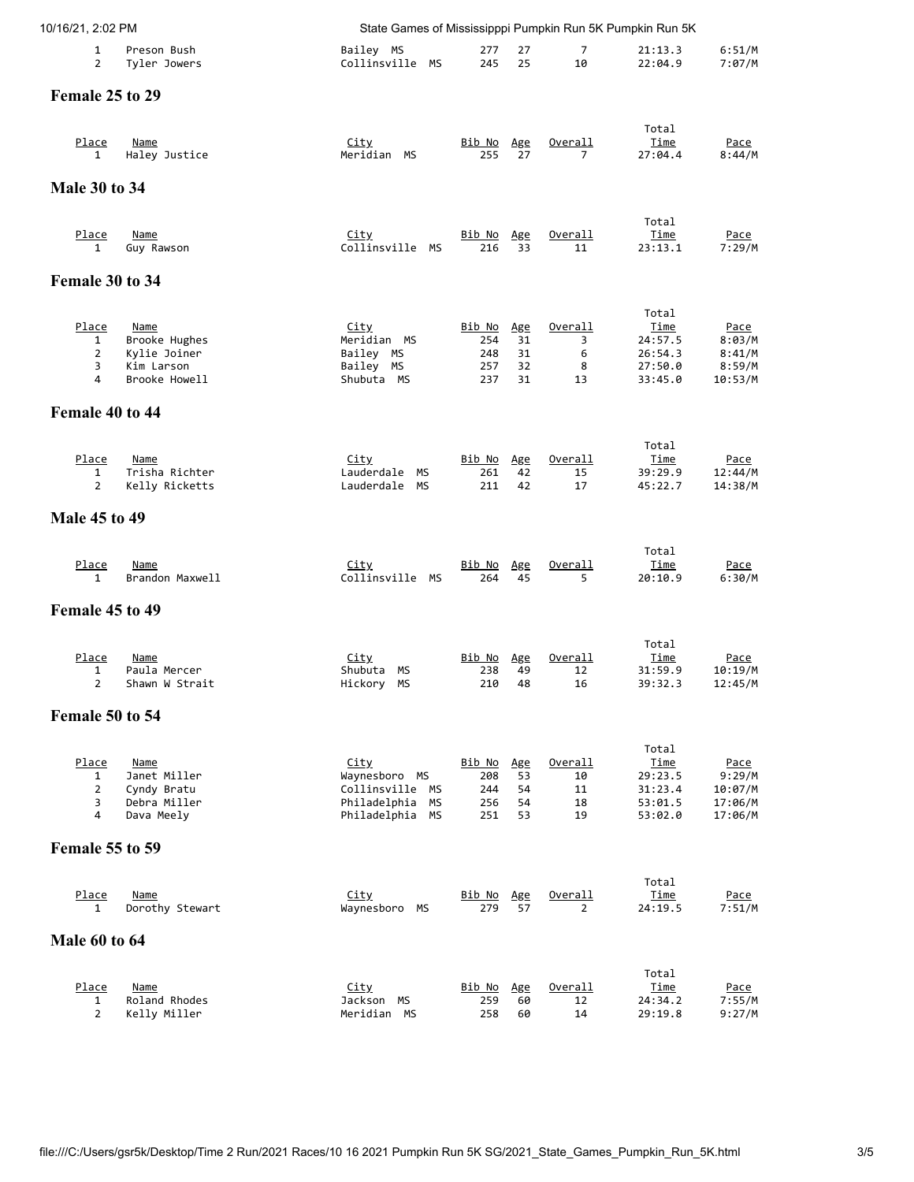| 10/16/21, 2:02 PM                             |                                                                          |                                                                                                 |                                           |                                    |                                     | State Games of Mississipppi Pumpkin Run 5K Pumpkin Run 5K        |                                                      |
|-----------------------------------------------|--------------------------------------------------------------------------|-------------------------------------------------------------------------------------------------|-------------------------------------------|------------------------------------|-------------------------------------|------------------------------------------------------------------|------------------------------------------------------|
| 1<br>$\overline{2}$                           | Preson Bush<br>Tyler Jowers                                              | Bailey MS<br>Collinsville MS                                                                    | 277<br>245                                | 27<br>25                           | 7<br>10                             | 21:13.3<br>22:04.9                                               | 6:51/M<br>7:07/M                                     |
| Female 25 to 29                               |                                                                          |                                                                                                 |                                           |                                    |                                     |                                                                  |                                                      |
| <u>Place</u><br>1                             | <b>Name</b><br>Haley Justice                                             | <u>City</u><br>Meridian MS                                                                      | <u>Bib No</u><br>255                      | Age<br>27                          | <u>Overall</u><br>$\overline{7}$    | Total<br><u>Time</u><br>27:04.4                                  | <u>Pace</u><br>8:44/M                                |
| <b>Male 30 to 34</b>                          |                                                                          |                                                                                                 |                                           |                                    |                                     |                                                                  |                                                      |
| Place<br>1                                    | Name<br>Guy Rawson                                                       | <u>City</u><br>Collinsville MS                                                                  | <u>Bib No</u><br>216                      | Age<br>33                          | Overall<br>11                       | Total<br><u>Time</u><br>23:13.1                                  | <u>Pace</u><br>7:29/M                                |
| Female 30 to 34                               |                                                                          |                                                                                                 |                                           |                                    |                                     |                                                                  |                                                      |
| Place<br>1<br>$\overline{2}$<br>3<br>4        | Name<br>Brooke Hughes<br>Kylie Joiner<br>Kim Larson<br>Brooke Howell     | <u>City</u><br>Meridian MS<br>Bailey MS<br>Bailey<br>МS<br>Shubuta MS                           | <u>Bib No</u><br>254<br>248<br>257<br>237 | Age<br>31<br>31<br>32<br>31        | <u>Overall</u><br>3<br>6<br>8<br>13 | Total<br>Time<br>24:57.5<br>26:54.3<br>27:50.0<br>33:45.0        | <u>Pace</u><br>8:03/M<br>8:41/M<br>8:59/M<br>10:53/M |
| Female 40 to 44                               |                                                                          |                                                                                                 |                                           |                                    |                                     |                                                                  |                                                      |
| Place<br>1<br>$\overline{2}$                  | <u>Name</u><br>Trisha Richter<br>Kelly Ricketts                          | <u>City</u><br>Lauderdale<br>МS<br>Lauderdale MS                                                | <u>Bib No</u><br>261<br>211               | Age<br>42<br>42                    | Overall<br>15<br>17                 | Total<br>Time<br>39:29.9<br>45:22.7                              | <u>Pace</u><br>12:44/M<br>14:38/M                    |
| <b>Male 45 to 49</b>                          |                                                                          |                                                                                                 |                                           |                                    |                                     |                                                                  |                                                      |
| Place<br>1                                    | <u>Name</u><br>Brandon Maxwell                                           | <u>City</u><br>Collinsville MS                                                                  | <u>Bib No</u><br>264                      | <u>Age</u><br>45                   | <u>Overall</u><br>5                 | Total<br><u>Time</u><br>20:10.9                                  | <u>Pace</u><br>6:30/M                                |
| Female 45 to 49                               |                                                                          |                                                                                                 |                                           |                                    |                                     |                                                                  |                                                      |
| Place<br>$\mathbf{1}$<br>$\overline{2}$       | Name<br>Paula Mercer<br>Shawn W Strait                                   | <u>City</u><br>Shubuta MS<br>Hickory MS                                                         | Bib No Age<br>238<br>210                  | 49<br>48                           | Overall<br>12<br>16                 | Total<br>Time<br>31:59.9<br>39:32.3                              | <u>Pace</u><br>10:19/M<br>12:45/M                    |
| Female 50 to 54                               |                                                                          |                                                                                                 |                                           |                                    |                                     |                                                                  |                                                      |
| <u>Place</u><br>1<br>$\overline{2}$<br>3<br>4 | <b>Name</b><br>Janet Miller<br>Cyndy Bratu<br>Debra Miller<br>Dava Meely | <u>City</u><br>Waynesboro MS<br>Collinsville MS<br>Philadelphia<br><b>MS</b><br>Philadelphia MS | Bib No<br>208<br>244<br>256<br>251        | <u>Age</u><br>53<br>54<br>54<br>53 | Overall<br>10<br>11<br>18<br>19     | Total<br><u>Time</u><br>29:23.5<br>31:23.4<br>53:01.5<br>53:02.0 | Pace<br>9:29/M<br>10:07/M<br>17:06/M<br>17:06/M      |
| <b>Female 55 to 59</b>                        |                                                                          |                                                                                                 |                                           |                                    |                                     |                                                                  |                                                      |
| Place<br>$\mathbf{1}$                         | Name<br>Dorothy Stewart                                                  | <u>City</u><br>Waynesboro<br>МS                                                                 | <u>Bib No</u><br>279                      | <u>Age</u><br>57                   | Overall<br>$\overline{2}$           | Total<br>Time<br>24:19.5                                         | <u>Pace</u><br>7:51/M                                |
| <b>Male 60 to 64</b>                          |                                                                          |                                                                                                 |                                           |                                    |                                     |                                                                  |                                                      |
| Place<br>1<br>$\overline{2}$                  | <b>Name</b><br>Roland Rhodes<br>Kelly Miller                             | <u>City</u><br>Jackson MS<br>Meridian MS                                                        | <u>Bib No</u><br>259<br>258               | Age<br>60<br>60                    | Overall<br>12<br>14                 | Total<br><u>Time</u><br>24:34.2<br>29:19.8                       | Pace<br>7:55/M<br>9:27/M                             |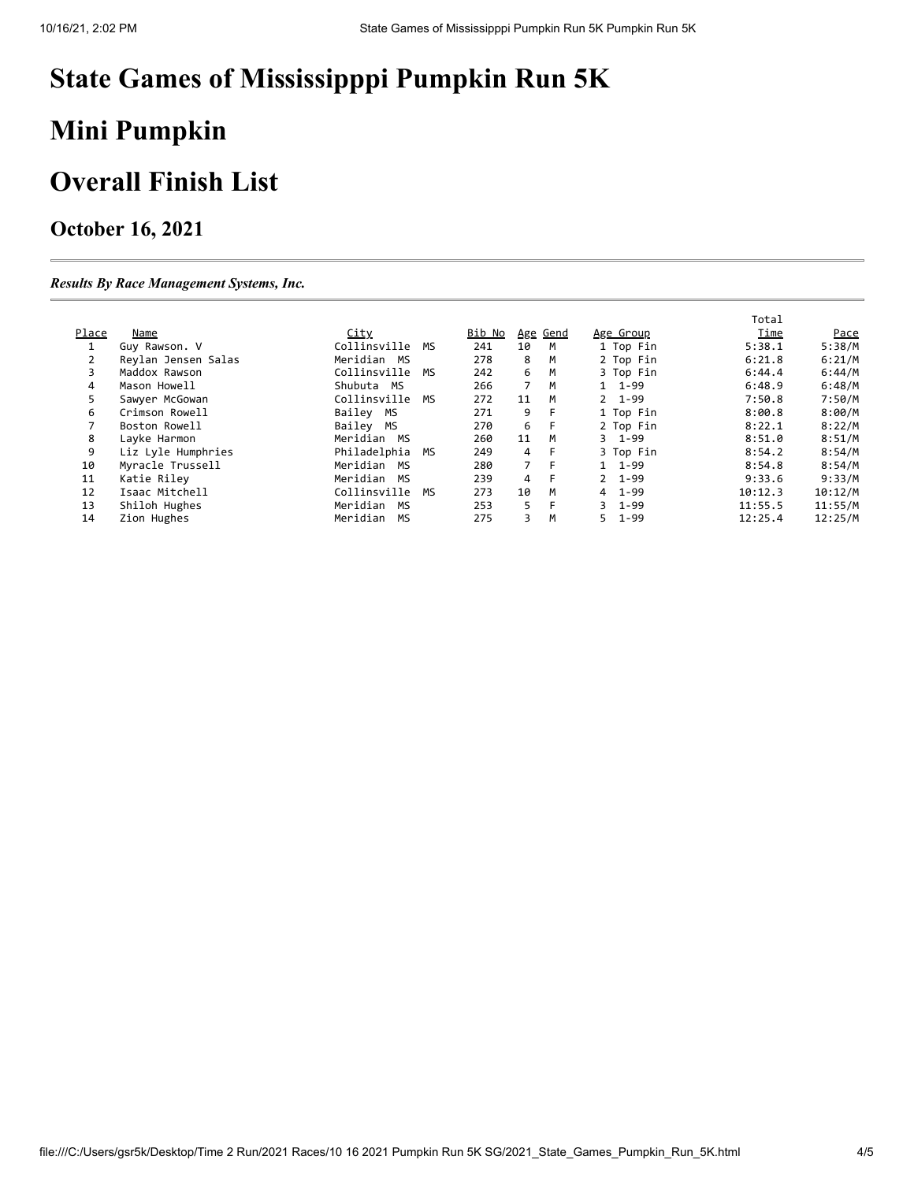# **Mini Pumpkin**

### **Overall Finish List**

#### **October 16, 2021**

*Results By Race Management Systems, Inc.*

|       |                     |                    |               |     |          |                  | Total   |             |
|-------|---------------------|--------------------|---------------|-----|----------|------------------|---------|-------------|
| Place | Name                | <u>City</u>        | <u>Bib No</u> |     | Age Gend | Age Group        | Time    | <u>Pace</u> |
|       | Guy Rawson. V       | Collinsville<br>МS | 241           | 10  | M        | 1 Top Fin        | 5:38.1  | 5:38/M      |
| 2     | Reylan Jensen Salas | Meridian MS        | 278           | 8   | M        | 2 Top Fin        | 6:21.8  | 6:21/M      |
| 3     | Maddox Rawson       | Collinsville<br>МS | 242           | 6   | M        | 3 Top Fin        | 6:44.4  | 6:44/M      |
| 4     | Mason Howell        | Shubuta MS         | 266           |     | M        | 1 1-99           | 6:48.9  | 6:48/M      |
| 5.    | Sawyer McGowan      | Collinsville<br>мs | 272           | 11  | M        | $2, 1 - 99$      | 7:50.8  | 7:50/M      |
| 6     | Crimson Rowell      | Bailey MS          | 271           | 9   | F.       | 1 Top Fin        | 8:00.8  | 8:00/M      |
|       | Boston Rowell       | Bailey MS          | 270           | 6   | - F      | 2 Top Fin        | 8:22.1  | 8:22/M      |
| 8     | Layke Harmon        | Meridian MS        | 260           | 11  | M        | $3 \quad 1 - 99$ | 8:51.0  | 8:51/M      |
| 9     | Liz Lyle Humphries  | Philadelphia<br>МS | 249           | 4   | -F       | 3 Top Fin        | 8:54.2  | 8:54/M      |
| 10    | Myracle Trussell    | Meridian MS        | 280           | 7 F |          | 1 1-99           | 8:54.8  | 8:54/M      |
| 11    | Katie Rilev         | Meridian MS        | 239           | 4   | -F       | $2, 1 - 99$      | 9:33.6  | 9:33/M      |
| 12    | Isaac Mitchell      | Collinsville<br>МS | 273           | 10  | M        | 4 1-99           | 10:12.3 | 10:12/M     |
| 13    | Shiloh Hughes       | Meridian MS        | 253           | 5.  | -F       | $3 \quad 1 - 99$ | 11:55.5 | 11:55/M     |
| 14    | Zion Hughes         | Meridian<br>MS     | 275           | 3   | M        | $5 \quad 1 - 99$ | 12:25.4 | 12:25/M     |